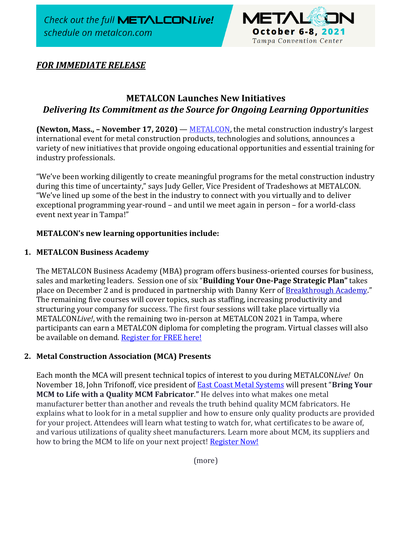Check out the full METALCONLive! schedule on metalcon.com



# *FOR IMMEDIATE RELEASE*

# **METALCON Launches New Initiatives** *Delivering Its Commitment as the Source for Ongoing Learning Opportunities*

**(Newton, Mass., – November 17, 2020)** — [METALCON,](http://www.metalcon.com/) the metal construction industry's largest international event for metal construction products, technologies and solutions, announces a variety of new initiatives that provide ongoing educational opportunities and essential training for industry professionals.

"We've been working diligently to create meaningful programs for the metal construction industry during this time of uncertainty," says Judy Geller, Vice President of Tradeshows at METALCON. "We've lined up some of the best in the industry to connect with you virtually and to deliver exceptional programming year-round – and until we meet again in person – for a world-class event next year in Tampa!"

## **METALCON's new learning opportunities include:**

### **1. METALCON Business Academy**

The METALCON Business Academy (MBA) program offers business-oriented courses for business, sales and marketing leaders. Session one of six "**Building Your One-Page Strategic Plan"** takes place on December 2 and is produced in partnership with Danny Kerr of [Breakthrough Academy](https://www.btacademy.com/?utm_source=hs_email&utm_medium=email&_hsenc=p2ANqtz-85f4dFW3naiHVehY2uwphasBvpSNSGFNLdcjMfUr2oqLegPrTZYlHWnNHOQlfdeKczvqff)." The remaining five courses will cover topics, such as staffing, increasing productivity and structuring your company for success. The first four sessions will take place virtually via METALCON*Live!*, with the remaining two in-person at METALCON 2021 in Tampa, where participants can earn a METALCON diploma for completing the program. Virtual classes will also be available on demand. [Register for FREE here!](https://us02web.zoom.us/webinar/register/WN_9GVbA7tcSJSsuHdfF-J2GQ)

#### **2. Metal Construction Association (MCA) Presents**

Each month the MCA will present technical topics of interest to you during METALCON*Live!* On November 18, John Trifonoff, vice president of [East Coast Metal Systems](https://www.ecmsinc.net/) will present "**Bring Your MCM to Life with a Quality MCM Fabricator**.**"** He delves into what makes one metal manufacturer better than another and reveals the truth behind quality MCM fabricators. He explains what to look for in a metal supplier and how to ensure only quality products are provided for your project. Attendees will learn what testing to watch for, what certificates to be aware of, and various utilizations of quality sheet manufacturers. Learn more about MCM, its suppliers and how to bring the MCM to life on your next project! [Register Now!](https://www.metalcon.com/metalcon21/public/Content.aspx?ID=3489&sortMenu=109000&utm_source=hs_email&utm_medium=email&_hsenc=p2ANqtz-8VRnbhUBZdkzRhvghad1vvmauxdwwEmoDZZS8ZF1A4nhrt27reKtUbm44zjLSFY4ivknx0)

(more)